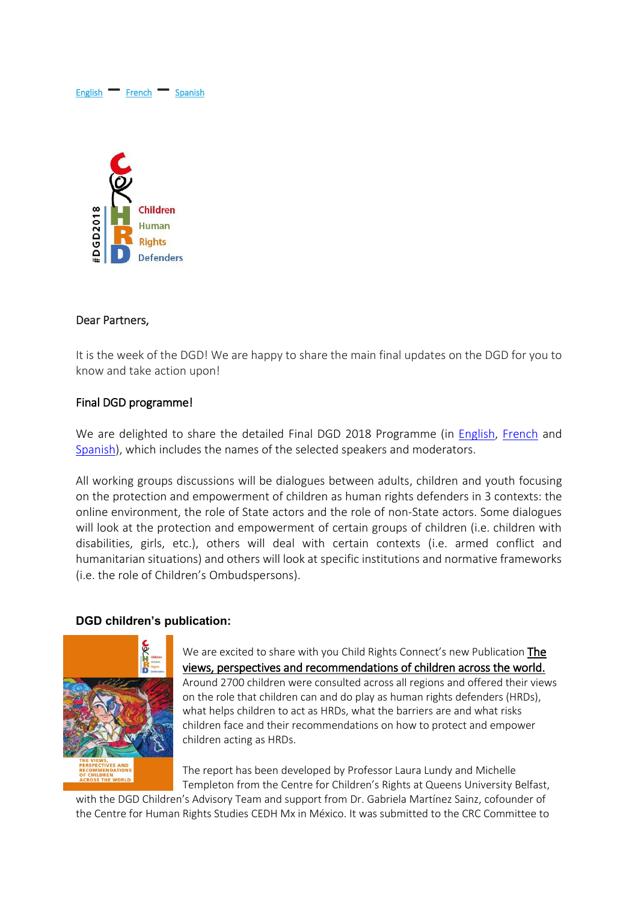# [English](#page-0-0) **–** [French](#page-5-0) **–** [Spanish](#page-10-0)



#### <span id="page-0-0"></span>Dear Partners,

It is the week of the DGD! We are happy to share the main final updates on the DGD for you to know and take action upon!

#### Final DGD programme!

We are delighted to share the detailed Final DGD 2018 Programme (in [English,](http://bit.ly/DGD_prog_EN) [French](http://bit.ly/DGD_prog_FR) and [Spanish\)](http://bit.ly/DGD_prog_ES), which includes the names of the selected speakers and moderators.

All working groups discussions will be dialogues between adults, children and youth focusing on the protection and empowerment of children as human rights defenders in 3 contexts: the online environment, the role of State actors and the role of non-State actors. Some dialogues will look at the protection and empowerment of certain groups of children (i.e. children with disabilities, girls, etc.), others will deal with certain contexts (i.e. armed conflict and humanitarian situations) and others will look at specific institutions and normative frameworks (i.e. the role of Children's Ombudspersons).

#### **DGD children's publication:**



We are excited to share with you Child Rights Connect's new Publication The [views, perspectives and recommendations of children across the world.](https://www.childrightsconnect.org/wp-content/uploads/2018/09/DGD-REPORT_WEB_en_def_web.pdf) Around 2700 children were consulted across all regions and offered their views on the role that children can and do play as human rights defenders (HRDs), what helps children to act as HRDs, what the barriers are and what risks children face and their recommendations on how to protect and empower children acting as HRDs.

The report has been developed by Professor Laura Lundy and Michelle Templeton from the Centre for Children's Rights at Queens University Belfast,

with the DGD Children's Advisory Team and support from Dr. Gabriela Martínez Sainz, cofounder of the Centre for Human Rights Studies CEDH Mx in México. It was submitted to the CRC Committee to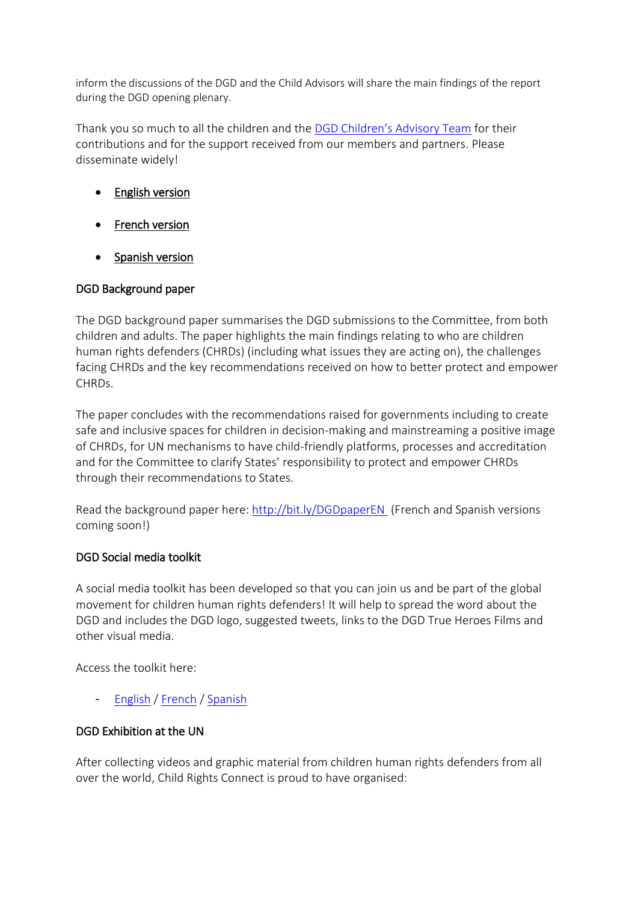inform the discussions of the DGD and the Child Advisors will share the main findings of the report during the DGD opening plenary.

Thank you so much to all the children and the [DGD Children's Advisory Team](https://www.childrightsconnect.org/wp-content/uploads/2018/09/Child-Advisors-Profiles_unique-document.pdf) for their contributions and for the support received from our members and partners. Please disseminate widely!

- [English version](https://www.childrightsconnect.org/wp-content/uploads/2018/09/DGD-REPORT_WEB_en_def_web.pdf)
- French version
- [Spanish version](https://www.childrightsconnect.org/wp-content/uploads/2018/09/DGD-REPORT_WEB_es_def_web.pdf)

# DGD Background paper

The DGD background paper summarises the DGD submissions to the Committee, from both children and adults. The paper highlights the main findings relating to who are children human rights defenders (CHRDs) (including what issues they are acting on), the challenges facing CHRDs and the key recommendations received on how to better protect and empower CHRDs.

The paper concludes with the recommendations raised for governments including to create safe and inclusive spaces for children in decision-making and mainstreaming a positive image of CHRDs, for UN mechanisms to have child-friendly platforms, processes and accreditation and for the Committee to clarify States' responsibility to protect and empower CHRDs through their recommendations to States.

Read the background paper here:<http://bit.ly/DGDpaperEN> (French and Spanish versions coming soon!)

# DGD Social media toolkit

A social media toolkit has been developed so that you can join us and be part of the global movement for children human rights defenders! It will help to spread the word about the DGD and includes the DGD logo, suggested tweets, links to the DGD True Heroes Films and other visual media.

Access the toolkit here:

- [English](https://d3n8a8pro7vhmx.cloudfront.net/childrightsconnect/mailings/634/attachments/original/DGD2018_SocialMediaPack_final.docx?1537545570) / [French](https://www.childrightsconnect.org/wp-content/uploads/2018/09/DGD2018_SocialMediaPack_fina_FR.pdf) / [Spanish](https://www.childrightsconnect.org/wp-content/uploads/2018/09/DGD2018_SocialMediaPack_final_ES.pdf)

# DGD Exhibition at the UN

After collecting videos and graphic material from children human rights defenders from all over the world, Child Rights Connect is proud to have organised: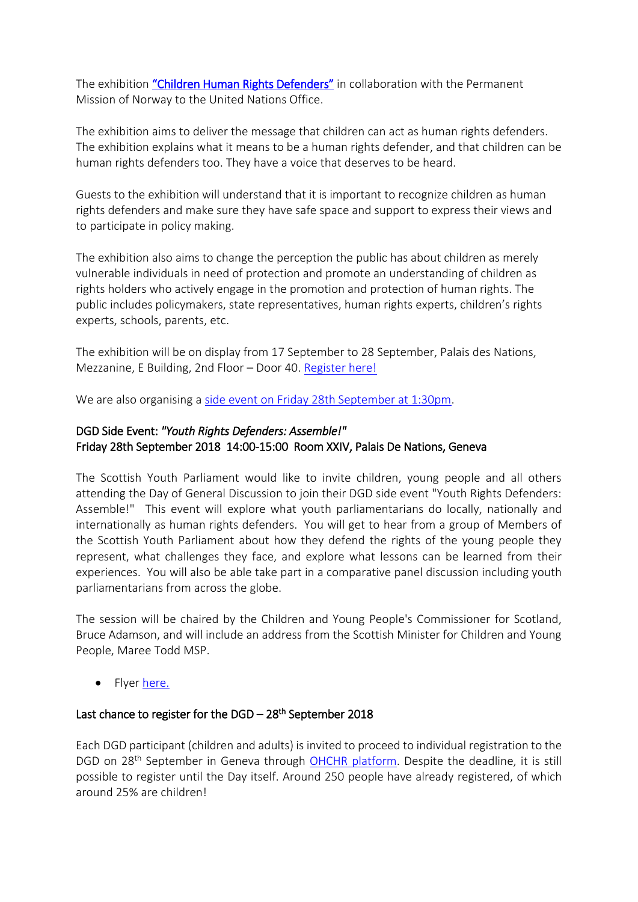The exhibition ["Children Human Rights Defenders"](https://www.childrightsconnect.org/wp-content/uploads/2018/09/Poster_DGD_Event.pdf) in collaboration with the Permanent Mission of Norway to the United Nations Office.

The exhibition aims to deliver the message that children can act as human rights defenders. The exhibition explains what it means to be a human rights defender, and that children can be human rights defenders too. They have a voice that deserves to be heard.

Guests to the exhibition will understand that it is important to recognize children as human rights defenders and make sure they have safe space and support to express their views and to participate in policy making.

The exhibition also aims to change the perception the public has about children as merely vulnerable individuals in need of protection and promote an understanding of children as rights holders who actively engage in the promotion and protection of human rights. The public includes policymakers, state representatives, human rights experts, children's rights experts, schools, parents, etc.

The exhibition will be on display from 17 September to 28 September, Palais des Nations, Mezzanine, E Building, 2nd Floor – Door 40[. Register here!](https://reg.unog.ch/event/26178/)

We are also organising a side event [on Friday 28th September at 1:30pm.](https://www.childrightsconnect.org/wp-content/uploads/2018/09/Norway-Child-Rights-Connect-Invitation_final.pdf)

# DGD Side Event: *"Youth Rights Defenders: Assemble!"* Friday 28th September 2018 14:00-15:00 Room XXIV, Palais De Nations, Geneva

The Scottish Youth Parliament would like to invite children, young people and all others attending the Day of General Discussion to join their DGD side event "Youth Rights Defenders: Assemble!" This event will explore what youth parliamentarians do locally, nationally and internationally as human rights defenders. You will get to hear from a group of Members of the Scottish Youth Parliament about how they defend the rights of the young people they represent, what challenges they face, and explore what lessons can be learned from their experiences. You will also be able take part in a comparative panel discussion including youth parliamentarians from across the globe.

The session will be chaired by the Children and Young People's Commissioner for Scotland, Bruce Adamson, and will include an address from the Scottish Minister for Children and Young People, Maree Todd MSP.

• Flyer [here.](https://d3n8a8pro7vhmx.cloudfront.net/childrightsconnect/mailings/634/attachments/original/DGD_flyer_SYP.pdf?1537545745)

## Last chance to register for the DGD - 28<sup>th</sup> September 2018

Each DGD participant (children and adults) is invited to proceed to individual registration to the DGD on 28<sup>th</sup> September in Geneva through OHCHR [platform.](https://reg.unog.ch/event/24042/) Despite the deadline, it is still possible to register until the Day itself. Around 250 people have already registered, of which around 25% are children!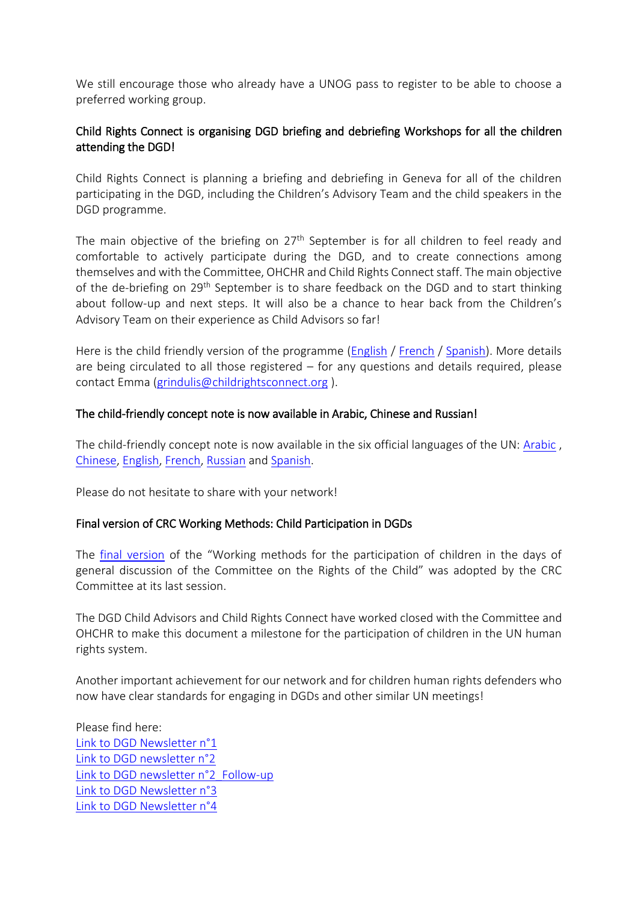We still encourage those who already have a UNOG pass to register to be able to choose a preferred working group.

# Child Rights Connect is organising DGD briefing and debriefing Workshops for all the children attending the DGD!

Child Rights Connect is planning a briefing and debriefing in Geneva for all of the children participating in the DGD, including the Children's Advisory Team and the child speakers in the DGD programme.

The main objective of the briefing on 27<sup>th</sup> September is for all children to feel ready and comfortable to actively participate during the DGD, and to create connections among themselves and with the Committee, OHCHR and Child Rights Connect staff. The main objective of the de-briefing on 29<sup>th</sup> September is to share feedback on the DGD and to start thinking about follow-up and next steps. It will also be a chance to hear back from the Children's Advisory Team on their experience as Child Advisors so far!

Here is the child friendly version of the programme [\(English](https://www.childrightsconnect.org/wp-content/uploads/2018/09/ChildFriendly_Programme_DGD_BriefingDebriefing_EN.pdf) / [French](https://www.childrightsconnect.org/wp-content/uploads/2018/09/ChildFriendly_Programme_DGD_BriefingDebriefing_FR.pdf) / [Spanish\)](https://www.childrightsconnect.org/wp-content/uploads/2018/09/ChildFriendly_Programme_DGD_BriefingDebriefing_ES.pdf). More details are being circulated to all those registered – for any questions and details required, please contact Emma [\(grindulis@childrightsconnect.org](mailto:grindulis@childrightsconnect.org) ).

#### The child-friendly concept note is now available in Arabic, Chinese and Russian!

The child-friendly concept note is now available in the six official languages of the UN: [Arabic](https://www.childrightsconnect.org/wp-content/uploads/2018/08/ConceptNote_ChildFriendly_AR.pdf) , [Chinese,](https://www.childrightsconnect.org/wp-content/uploads/2018/08/Concept-Note_ChildFriendly_Chinese.pdf) [English,](https://www.childrightsconnect.org/connect-with-the-un-2/committee-on-the-rights-of-the-child/days-of-general-discussion/cf-dgd2018/) [French,](https://www.childrightsconnect.org/connect-with-the-un-2/committee-on-the-rights-of-the-child/days-of-general-discussion/cf-dgd2018/cf-dgd2018-fr/) [Russian](https://www.childrightsconnect.org/wp-content/uploads/2018/09/Concept-Note_ChildFriendly_RU.pdf) and [Spanish.](https://www.childrightsconnect.org/connect-with-the-un-2/committee-on-the-rights-of-the-child/days-of-general-discussion/cf-dgd2018/cf-dgd2018-es/)

Please do not hesitate to share with your network!

#### Final version of CRC Working Methods: Child Participation in DGDs

The final [version](https://documents-dds-ny.un.org/doc/UNDOC/GEN/G18/274/25/PDF/G1827425.pdf?OpenElement) of the "Working methods for the participation of children in the days of general discussion of the Committee on the Rights of the Child" was adopted by the CRC Committee at its last session.

The DGD Child Advisors and Child Rights Connect have worked closed with the Committee and OHCHR to make this document a milestone for the participation of children in the UN human rights system.

Another important achievement for our network and for children human rights defenders who now have clear standards for engaging in DGDs and other similar UN meetings!

Please find here: [Link to DGD Newsletter n°1](http://www.childrightsconnect.org/wp-content/uploads/2018/04/ChildRightsConnect_DGD_Newsletter_1.pdf) [Link to DGD newsletter n°2](http://www.childrightsconnect.org/wp-content/uploads/2018/04/DGD_Newsletter2_Final.pdf?x37799) [Link to DGD newsletter n°2\\_Follow-up](http://www.childrightsconnect.org/wp-content/uploads/2018/06/ChildRightsConnect_DGD_Newsletter_2_Follow_up.pdf) [Link to DGD Newsletter n°3](http://www.childrightsconnect.org/wp-content/uploads/2018/06/ChildRightsConnect_DGD_Newsletter_3.pdf?x37799) [Link to DGD Newsletter n°4](https://www.childrightsconnect.org/wp-content/uploads/2018/07/ChildRightsConnect_DGD_Newsletter_4.pdf?x37799)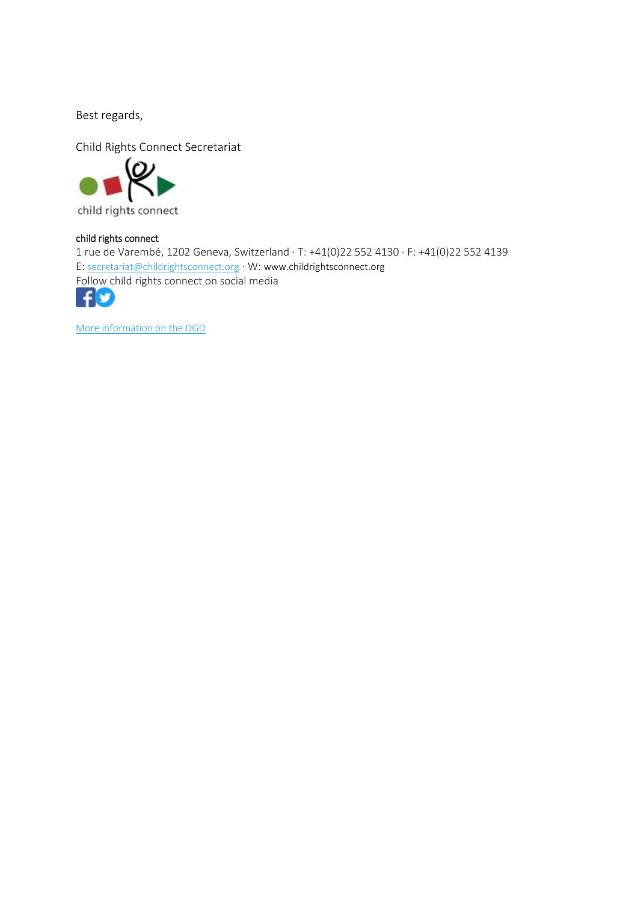Best regards,



child rights connect

1 rue de Varembé, 1202 Geneva, Switzerland · T: +41(0)22 552 4130 · F: +41(0)22 552 4139 E: [secretariat@childrightsconnect.org](mailto:secretariat@childrightsconnect.org) · W: www.childrightsconnect.org Follow child rights connect on social media



[More information on the DGD](http://www.childrightsconnect.org/connect-with-the-un-2/committee-on-the-rights-of-the-child/days-of-general-discussion/)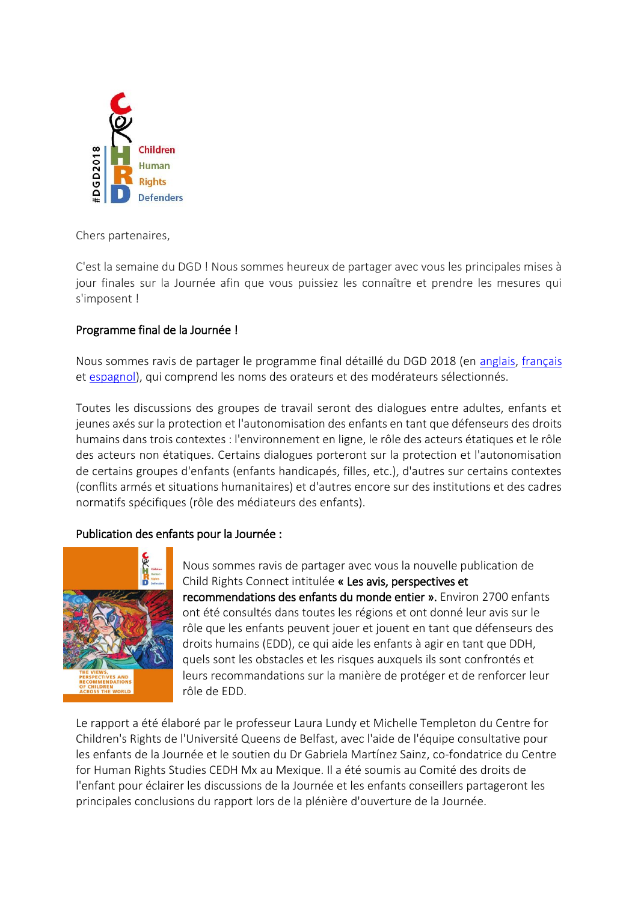

<span id="page-5-0"></span>Chers partenaires,

C'est la semaine du DGD ! Nous sommes heureux de partager avec vous les principales mises à jour finales sur la Journée afin que vous puissiez les connaître et prendre les mesures qui s'imposent !

# Programme final de la Journée !

Nous sommes ravis de partager le programme final détaillé du DGD 2018 (en [anglais,](http://bit.ly/DGD_prog_EN) [français](http://bit.ly/DGD_prog_FR) et [espagnol\)](http://bit.ly/DGD_prog_ES), qui comprend les noms des orateurs et des modérateurs sélectionnés.

Toutes les discussions des groupes de travail seront des dialogues entre adultes, enfants et jeunes axés sur la protection et l'autonomisation des enfants en tant que défenseurs des droits humains dans trois contextes : l'environnement en ligne, le rôle des acteurs étatiques et le rôle des acteurs non étatiques. Certains dialogues porteront sur la protection et l'autonomisation de certains groupes d'enfants (enfants handicapés, filles, etc.), d'autres sur certains contextes (conflits armés et situations humanitaires) et d'autres encore sur des institutions et des cadres normatifs spécifiques (rôle des médiateurs des enfants).

## Publication des enfants pour la Journée :



Nous sommes ravis de partager avec vous la nouvelle publication de Child Rights Connect intitulée « Les avis, perspectives et recommendations des enfants du monde entier ». Environ 2700 enfants ont été consultés dans toutes les régions et ont donné leur avis sur le rôle que les enfants peuvent jouer et jouent en tant que défenseurs des droits humains (EDD), ce qui aide les enfants à agir en tant que DDH, quels sont les obstacles et les risques auxquels ils sont confrontés et leurs recommandations sur la manière de protéger et de renforcer leur rôle de EDD.

Le rapport a été élaboré par le professeur Laura Lundy et Michelle Templeton du Centre for Children's Rights de l'Université Queens de Belfast, avec l'aide de l'équipe consultative pour les enfants de la Journée et le soutien du Dr Gabriela Martínez Sainz, co-fondatrice du Centre for Human Rights Studies CEDH Mx au Mexique. Il a été soumis au Comité des droits de l'enfant pour éclairer les discussions de la Journée et les enfants conseillers partageront les principales conclusions du rapport lors de la plénière d'ouverture de la Journée.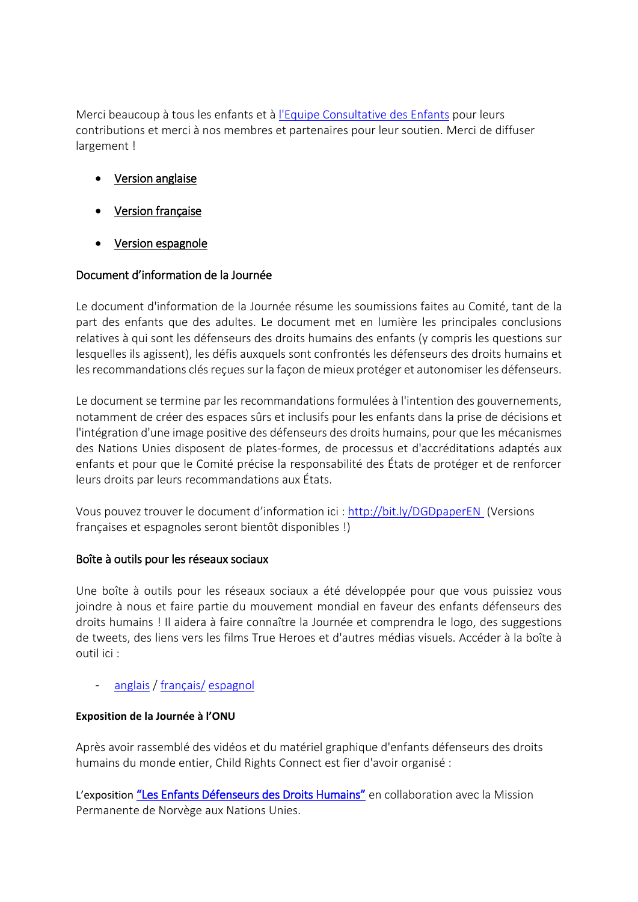Merci beaucoup à tous les enfants et à [l'Equipe Consultative des Enfants](https://www.childrightsconnect.org/wp-content/uploads/2018/09/Child-Advisors-Profiles_unique-document.pdf) pour leurs contributions et merci à nos membres et partenaires pour leur soutien. Merci de diffuser largement !

- [Version anglaise](https://www.childrightsconnect.org/wp-content/uploads/2018/09/DGD-REPORT_WEB_en_def_web.pdf)
- [Version française](https://www.childrightsconnect.org/wp-content/uploads/2018/09/DGD-REPORT_WEB_fr_def_web.pdf)
- [Version espagnole](https://www.childrightsconnect.org/wp-content/uploads/2018/09/DGD-REPORT_WEB_es_def_web.pdf)

# Document d'information de la Journée

Le document d'information de la Journée résume les soumissions faites au Comité, tant de la part des enfants que des adultes. Le document met en lumière les principales conclusions relatives à qui sont les défenseurs des droits humains des enfants (y compris les questions sur lesquelles ils agissent), les défis auxquels sont confrontés les défenseurs des droits humains et les recommandations clés reçues sur la façon de mieux protéger et autonomiser les défenseurs.

Le document se termine par les recommandations formulées à l'intention des gouvernements, notamment de créer des espaces sûrs et inclusifs pour les enfants dans la prise de décisions et l'intégration d'une image positive des défenseurs des droits humains, pour que les mécanismes des Nations Unies disposent de plates-formes, de processus et d'accréditations adaptés aux enfants et pour que le Comité précise la responsabilité des États de protéger et de renforcer leurs droits par leurs recommandations aux États.

Vous pouvez trouver le document d'information ici [: http://bit.ly/DGDpaperEN](http://bit.ly/DGDpaperEN) (Versions françaises et espagnoles seront bientôt disponibles !)

## Boîte à outils pour les réseaux sociaux

Une boîte à outils pour les réseaux sociaux a été développée pour que vous puissiez vous joindre à nous et faire partie du mouvement mondial en faveur des enfants défenseurs des droits humains ! Il aidera à faire connaître la Journée et comprendra le logo, des suggestions de tweets, des liens vers les films True Heroes et d'autres médias visuels. Accéder à la boîte à outil ici :

[anglais](https://d3n8a8pro7vhmx.cloudfront.net/childrightsconnect/mailings/634/attachments/original/DGD2018_SocialMediaPack_final.docx?1537545570) [/ français/](https://www.childrightsconnect.org/wp-content/uploads/2018/09/DGD2018_SocialMediaPack_fina_FR.pdf) [espagnol](https://www.childrightsconnect.org/wp-content/uploads/2018/09/DGD2018_SocialMediaPack_final_ES.pdf)

## **Exposition de la Journée à l'ONU**

Après avoir rassemblé des vidéos et du matériel graphique d'enfants défenseurs des droits humains du monde entier, Child Rights Connect est fier d'avoir organisé :

L'exposition "Les Enfants D[éfenseurs des Droits Humains"](https://www.childrightsconnect.org/wp-content/uploads/2018/09/Poster_DGD_Event.pdf) en collaboration avec la Mission Permanente de Norvège aux Nations Unies.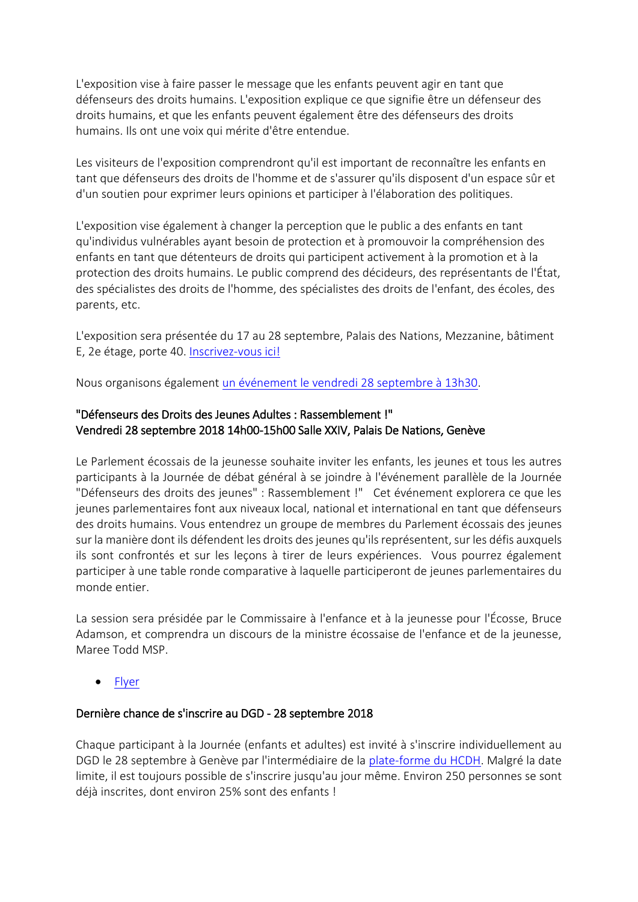L'exposition vise à faire passer le message que les enfants peuvent agir en tant que défenseurs des droits humains. L'exposition explique ce que signifie être un défenseur des droits humains, et que les enfants peuvent également être des défenseurs des droits humains. Ils ont une voix qui mérite d'être entendue.

Les visiteurs de l'exposition comprendront qu'il est important de reconnaître les enfants en tant que défenseurs des droits de l'homme et de s'assurer qu'ils disposent d'un espace sûr et d'un soutien pour exprimer leurs opinions et participer à l'élaboration des politiques.

L'exposition vise également à changer la perception que le public a des enfants en tant qu'individus vulnérables ayant besoin de protection et à promouvoir la compréhension des enfants en tant que détenteurs de droits qui participent activement à la promotion et à la protection des droits humains. Le public comprend des décideurs, des représentants de l'État, des spécialistes des droits de l'homme, des spécialistes des droits de l'enfant, des écoles, des parents, etc.

L'exposition sera présentée du 17 au 28 septembre, Palais des Nations, Mezzanine, bâtiment E, 2e étage, porte 40. [Inscrivez-vous ici!](https://reg.unog.ch/event/26178/)

Nous organisons également [un événement le vendredi 28 septembre à 13h30.](https://www.childrightsconnect.org/wp-content/uploads/2018/09/Norway-Child-Rights-Connect-Invitation_final.pdf)

# "Défenseurs des Droits des Jeunes Adultes : Rassemblement !" Vendredi 28 septembre 2018 14h00-15h00 Salle XXIV, Palais De Nations, Genève

Le Parlement écossais de la jeunesse souhaite inviter les enfants, les jeunes et tous les autres participants à la Journée de débat général à se joindre à l'événement parallèle de la Journée "Défenseurs des droits des jeunes" : Rassemblement !" Cet événement explorera ce que les jeunes parlementaires font aux niveaux local, national et international en tant que défenseurs des droits humains. Vous entendrez un groupe de membres du Parlement écossais des jeunes sur la manière dont ils défendent les droits des jeunes qu'ils représentent, sur les défis auxquels ils sont confrontés et sur les leçons à tirer de leurs expériences. Vous pourrez également participer à une table ronde comparative à laquelle participeront de jeunes parlementaires du monde entier.

La session sera présidée par le Commissaire à l'enfance et à la jeunesse pour l'Écosse, Bruce Adamson, et comprendra un discours de la ministre écossaise de l'enfance et de la jeunesse, Maree Todd MSP.

• [Flyer](https://d3n8a8pro7vhmx.cloudfront.net/childrightsconnect/mailings/634/attachments/original/DGD_flyer_SYP.pdf?1537545745)

## Dernière chance de s'inscrire au DGD - 28 septembre 2018

Chaque participant à la Journée (enfants et adultes) est invité à s'inscrire individuellement au DGD le 28 septembre à Genève par l'intermédiaire de la [plate-forme du HCDH.](https://reg.unog.ch/event/24042/) Malgré la date limite, il est toujours possible de s'inscrire jusqu'au jour même. Environ 250 personnes se sont déjà inscrites, dont environ 25% sont des enfants !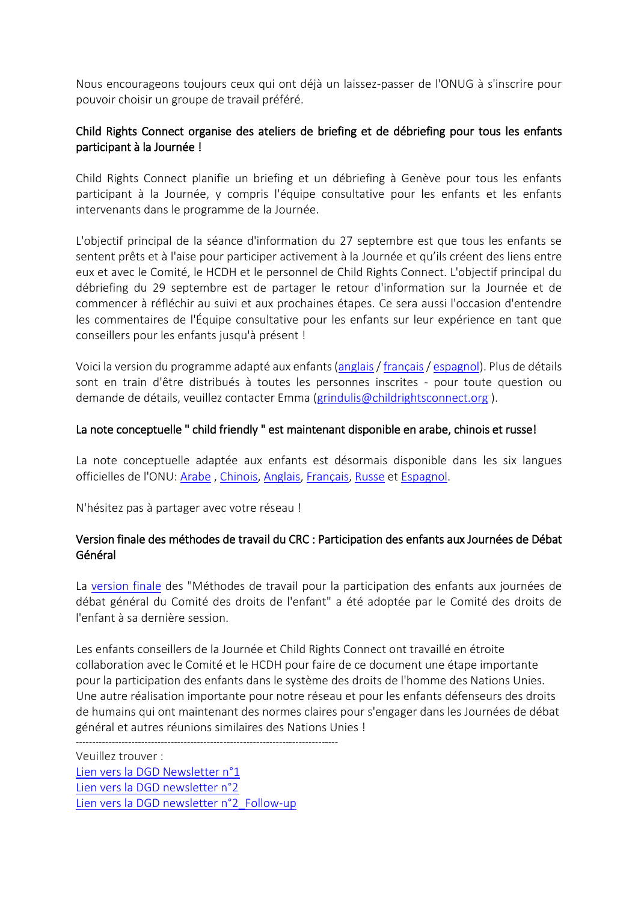Nous encourageons toujours ceux qui ont déjà un laissez-passer de l'ONUG à s'inscrire pour pouvoir choisir un groupe de travail préféré.

# Child Rights Connect organise des ateliers de briefing et de débriefing pour tous les enfants participant à la Journée !

Child Rights Connect planifie un briefing et un débriefing à Genève pour tous les enfants participant à la Journée, y compris l'équipe consultative pour les enfants et les enfants intervenants dans le programme de la Journée.

L'objectif principal de la séance d'information du 27 septembre est que tous les enfants se sentent prêts et à l'aise pour participer activement à la Journée et qu'ils créent des liens entre eux et avec le Comité, le HCDH et le personnel de Child Rights Connect. L'objectif principal du débriefing du 29 septembre est de partager le retour d'information sur la Journée et de commencer à réfléchir au suivi et aux prochaines étapes. Ce sera aussi l'occasion d'entendre les commentaires de l'Équipe consultative pour les enfants sur leur expérience en tant que conseillers pour les enfants jusqu'à présent !

Voici la version du programme adapté aux enfants [\(anglais](https://www.childrightsconnect.org/wp-content/uploads/2018/09/ChildFriendly_Programme_DGD_BriefingDebriefing_EN.pdf) / [français](https://www.childrightsconnect.org/wp-content/uploads/2018/09/ChildFriendly_Programme_DGD_BriefingDebriefing_FR.pdf)[/ espagnol\)](https://www.childrightsconnect.org/wp-content/uploads/2018/09/ChildFriendly_Programme_DGD_BriefingDebriefing_ES.pdf). Plus de détails sont en train d'être distribués à toutes les personnes inscrites - pour toute question ou demande de détails, veuillez contacter Emma [\(grindulis@childrightsconnect.org](mailto:grindulis@childrightsconnect.org) ).

#### La note conceptuelle " child friendly " est maintenant disponible en arabe, chinois et russe!

La note conceptuelle adaptée aux enfants est désormais disponible dans les six langues officielles de l'ONU: [Arabe](https://www.childrightsconnect.org/wp-content/uploads/2018/08/ConceptNote_ChildFriendly_AR.pdf) , [Chinois,](https://www.childrightsconnect.org/wp-content/uploads/2018/08/Concept-Note_ChildFriendly_Chinese.pdf) [Anglais,](https://www.childrightsconnect.org/connect-with-the-un-2/committee-on-the-rights-of-the-child/days-of-general-discussion/cf-dgd2018/) [Français,](https://www.childrightsconnect.org/connect-with-the-un-2/committee-on-the-rights-of-the-child/days-of-general-discussion/cf-dgd2018/cf-dgd2018-fr/) [Russe](https://www.childrightsconnect.org/wp-content/uploads/2018/09/Concept-Note_ChildFriendly_RU.pdf) et [Espagnol.](https://www.childrightsconnect.org/connect-with-the-un-2/committee-on-the-rights-of-the-child/days-of-general-discussion/cf-dgd2018/cf-dgd2018-es/)

N'hésitez pas à partager avec votre réseau !

## Version finale des méthodes de travail du CRC : Participation des enfants aux Journées de Débat Général

La [version finale](https://documents-dds-ny.un.org/doc/UNDOC/GEN/G18/274/25/PDF/G1827425.pdf?OpenElement) des "Méthodes de travail pour la participation des enfants aux journées de débat général du Comité des droits de l'enfant" a été adoptée par le Comité des droits de l'enfant à sa dernière session.

Les enfants conseillers de la Journée et Child Rights Connect ont travaillé en étroite collaboration avec le Comité et le HCDH pour faire de ce document une étape importante pour la participation des enfants dans le système des droits de l'homme des Nations Unies. Une autre réalisation importante pour notre réseau et pour les enfants défenseurs des droits de humains qui ont maintenant des normes claires pour s'engager dans les Journées de débat général et autres réunions similaires des Nations Unies !

--------------------------------------------------------------------------------

Veuillez trouver : [Lien vers la DGD Newsletter n°1](http://www.childrightsconnect.org/wp-content/uploads/2018/04/ChildRightsConnect_DGD_Newsletter_1.pdf) [Lien vers la DGD newsletter n°2](http://www.childrightsconnect.org/wp-content/uploads/2018/04/DGD_Newsletter2_Final.pdf?x37799) [Lien vers la DGD newsletter](http://www.childrightsconnect.org/wp-content/uploads/2018/06/ChildRightsConnect_DGD_Newsletter_2_Follow_up.pdf) n°2\_Follow-up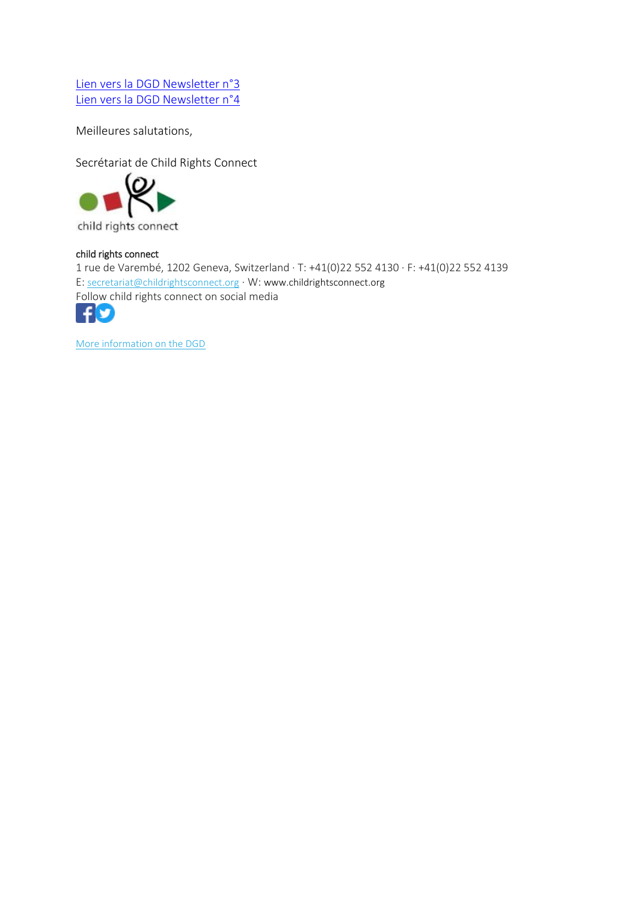[Lien vers la DGD Newsletter n°3](http://www.childrightsconnect.org/wp-content/uploads/2018/06/ChildRightsConnect_DGD_Newsletter_3.pdf?x37799) [Lien vers la DGD Newsletter n°4](https://www.childrightsconnect.org/wp-content/uploads/2018/07/ChildRightsConnect_DGD_Newsletter_4.pdf?x37799)

Meilleures salutations,

Secrétariat de Child Rights Connect<br> **(O)** 



child rights connect

#### child rights connect

1 rue de Varembé, 1202 Geneva, Switzerland · T: +41(0)22 552 4130 · F: +41(0)22 552 4139 E: [secretariat@childrightsconnect.org](mailto:secretariat@childrightsconnect.org) · W: www.childrightsconnect.org [Foll](https://www.facebook.com/childrightsconnect/)[ow c](https://twitter.com/ChildRightsCnct)hild rights connect on social media



[More information on the DGD](http://www.childrightsconnect.org/connect-with-the-un-2/committee-on-the-rights-of-the-child/days-of-general-discussion/)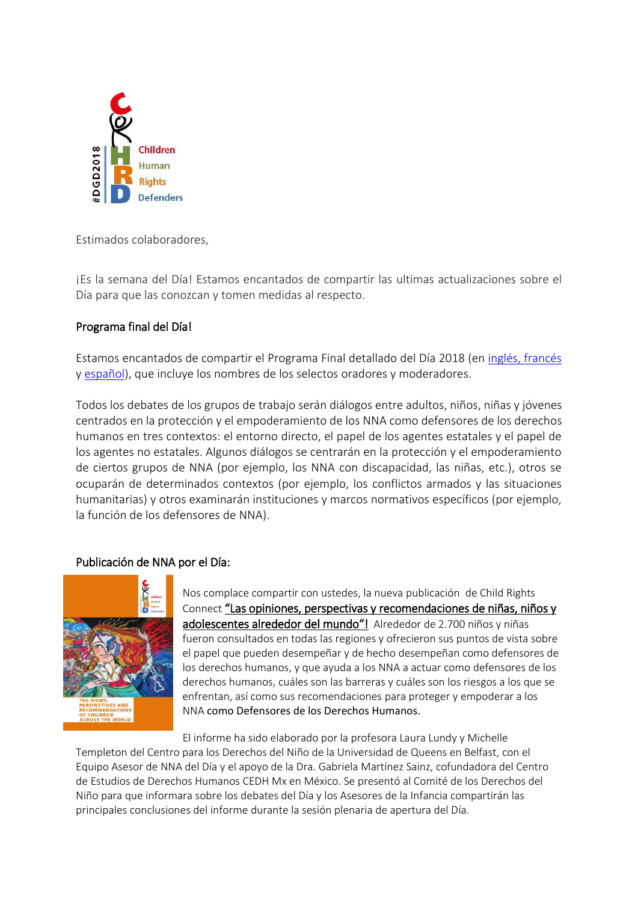

<span id="page-10-0"></span>Estimados colaboradores,

¡Es la semana del Día! Estamos encantados de compartir las ultimas actualizaciones sobre el Día para que las conozcan y tomen medidas al respecto.

# Programa final del Día!

Estamos encantados de compartir el Programa Final detallado del Día 2018 (en [inglés](http://bit.ly/DGD_prog_EN)[, francés](http://bit.ly/DGD_prog_FR) y [español\)](http://bit.ly/DGD_prog_ES), que incluye los nombres de los selectos oradores y moderadores.

Todos los debates de los grupos de trabajo serán diálogos entre adultos, niños, niñas y jóvenes centrados en la protección y el empoderamiento de los NNA como defensores de los derechos humanos en tres contextos: el entorno directo, el papel de los agentes estatales y el papel de los agentes no estatales. Algunos diálogos se centrarán en la protección y el empoderamiento de ciertos grupos de NNA (por ejemplo, los NNA con discapacidad, las niñas, etc.), otros se ocuparán de determinados contextos (por ejemplo, los conflictos armados y las situaciones humanitarias) y otros examinarán instituciones y marcos normativos específicos (por ejemplo, la función de los defensores de NNA).

## Publicación de NNA por el Día:



Nos complace compartir con ustedes, la nueva publicación de Child Rights Connect ["Las opiniones, perspectivas y recomendaciones de niña](https://www.childrightsconnect.org/wp-content/uploads/2018/09/DGD-REPORT_WEB_en_def_web.pdf)s, niños y [adolescentes alrededor del mundo"!](https://www.childrightsconnect.org/wp-content/uploads/2018/09/DGD-REPORT_WEB_en_def_web.pdf) Alrededor de 2.700 niños y niñas fueron consultados en todas las regiones y ofrecieron sus puntos de vista sobre el papel que pueden desempeñar y de hecho desempeñan como defensores de los derechos humanos, y que ayuda a los NNA a actuar como defensores de los derechos humanos, cuáles son las barreras y cuáles son los riesgos a los que se enfrentan, así como sus recomendaciones para proteger y empoderar a los NNA como Defensores de los Derechos Humanos.

El informe ha sido elaborado por la profesora Laura Lundy y Michelle Templeton del Centro para los Derechos del Niño de la Universidad de Queens en Belfast, con el Equipo Asesor de NNA del Día y el apoyo de la Dra. Gabriela Martínez Sainz, cofundadora del Centro de Estudios de Derechos Humanos CEDH Mx en México. Se presentó al Comité de los Derechos del Niño para que informara sobre los debates del Día y los Asesores de la Infancia compartirán las principales conclusiones del informe durante la sesión plenaria de apertura del Día.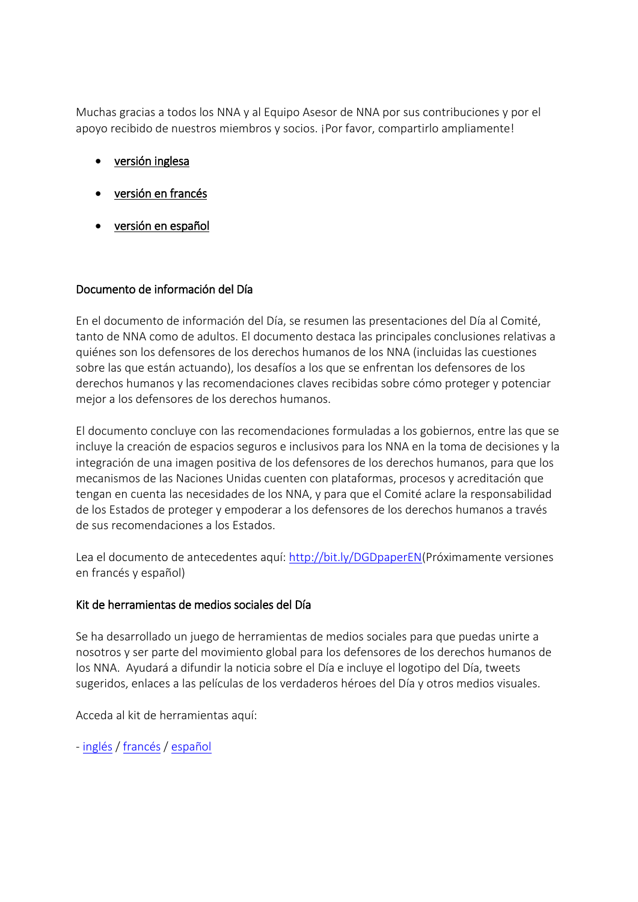Muchas gracias a todos los NNA y al Equipo Asesor de NNA por sus contribuciones y por el apoyo recibido de nuestros miembros y socios. ¡Por favor, compartirlo ampliamente!

- [versión inglesa](https://www.childrightsconnect.org/wp-content/uploads/2018/09/DGD-REPORT_WEB_en_def_web.pdf)
- [versión en francés](https://www.childrightsconnect.org/wp-content/uploads/2018/09/DGD-REPORT_WEB_fr_def_web.pdf)
- [versión en español](https://www.childrightsconnect.org/wp-content/uploads/2018/09/DGD-REPORT_WEB_es_def_web.pdf)

## Documento de información del Día

En el documento de información del Día, se resumen las presentaciones del Día al Comité, tanto de NNA como de adultos. El documento destaca las principales conclusiones relativas a quiénes son los defensores de los derechos humanos de los NNA (incluidas las cuestiones sobre las que están actuando), los desafíos a los que se enfrentan los defensores de los derechos humanos y las recomendaciones claves recibidas sobre cómo proteger y potenciar mejor a los defensores de los derechos humanos.

El documento concluye con las recomendaciones formuladas a los gobiernos, entre las que se incluye la creación de espacios seguros e inclusivos para los NNA en la toma de decisiones y la integración de una imagen positiva de los defensores de los derechos humanos, para que los mecanismos de las Naciones Unidas cuenten con plataformas, procesos y acreditación que tengan en cuenta las necesidades de los NNA, y para que el Comité aclare la responsabilidad de los Estados de proteger y empoderar a los defensores de los derechos humanos a través de sus recomendaciones a los Estados.

Lea el documento de antecedentes aquí: [http://bit.ly/DGDpaperEN\(](http://bit.ly/DGDpaperEN)Próximamente versiones en francés y español)

## Kit de herramientas de medios sociales del Día

Se ha desarrollado un juego de herramientas de medios sociales para que puedas unirte a nosotros y ser parte del movimiento global para los defensores de los derechos humanos de los NNA. Ayudará a difundir la noticia sobre el Día e incluye el logotipo del Día, tweets sugeridos, enlaces a las películas de los verdaderos héroes del Día y otros medios visuales.

Acceda al kit de herramientas aquí:

- [inglés](https://www.childrightsconnect.org/wp-content/uploads/2018/09/DGD2018_SocialMediaPack_final.pdf) [/ francés](https://www.childrightsconnect.org/wp-content/uploads/2018/09/DGD2018_SocialMediaPack_fina_FR.pdf) / [español](https://www.childrightsconnect.org/wp-content/uploads/2018/09/DGD2018_SocialMediaPack_final_ES.pdf)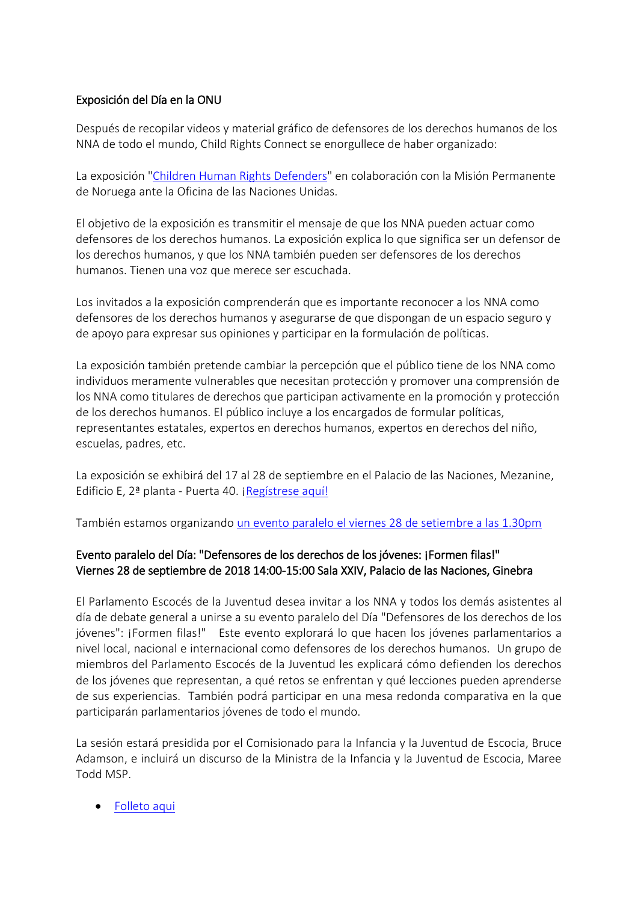## Exposición del Día en la ONU

Después de recopilar videos y material gráfico de defensores de los derechos humanos de los NNA de todo el mundo, Child Rights Connect se enorgullece de haber organizado:

La exposición ["Children Human Rights Defenders"](https://www.childrightsconnect.org/wp-content/uploads/2018/09/Poster_DGD_Event.pdf) en colaboración con la Misión Permanente de Noruega ante la Oficina de las Naciones Unidas.

El objetivo de la exposición es transmitir el mensaje de que los NNA pueden actuar como defensores de los derechos humanos. La exposición explica lo que significa ser un defensor de los derechos humanos, y que los NNA también pueden ser defensores de los derechos humanos. Tienen una voz que merece ser escuchada.

Los invitados a la exposición comprenderán que es importante reconocer a los NNA como defensores de los derechos humanos y asegurarse de que dispongan de un espacio seguro y de apoyo para expresar sus opiniones y participar en la formulación de políticas.

La exposición también pretende cambiar la percepción que el público tiene de los NNA como individuos meramente vulnerables que necesitan protección y promover una comprensión de los NNA como titulares de derechos que participan activamente en la promoción y protección de los derechos humanos. El público incluye a los encargados de formular políticas, representantes estatales, expertos en derechos humanos, expertos en derechos del niño, escuelas, padres, etc.

La exposición se exhibirá del 17 al 28 de septiembre en el Palacio de las Naciones, Mezanine, Edificio E, 2ª planta - Puerta 40. [¡Regístrese aquí!](https://reg.unog.ch/event/26178/)

También estamos organizando [un evento paralelo el viernes 28 de setiembre a las 1.30pm](https://www.childrightsconnect.org/wp-content/uploads/2018/09/Norway-Child-Rights-Connect-Invitation_final.pdf)

# Evento paralelo del Día: "Defensores de los derechos de los jóvenes: ¡Formen filas!" Viernes 28 de septiembre de 2018 14:00-15:00 Sala XXIV, Palacio de las Naciones, Ginebra

El Parlamento Escocés de la Juventud desea invitar a los NNA y todos los demás asistentes al día de debate general a unirse a su evento paralelo del Día "Defensores de los derechos de los jóvenes": ¡Formen filas!" Este evento explorará lo que hacen los jóvenes parlamentarios a nivel local, nacional e internacional como defensores de los derechos humanos. Un grupo de miembros del Parlamento Escocés de la Juventud les explicará cómo defienden los derechos de los jóvenes que representan, a qué retos se enfrentan y qué lecciones pueden aprenderse de sus experiencias. También podrá participar en una mesa redonda comparativa en la que participarán parlamentarios jóvenes de todo el mundo.

La sesión estará presidida por el Comisionado para la Infancia y la Juventud de Escocia, Bruce Adamson, e incluirá un discurso de la Ministra de la Infancia y la Juventud de Escocia, Maree Todd MSP.

• [Folleto aqui](https://d3n8a8pro7vhmx.cloudfront.net/childrightsconnect/mailings/634/attachments/original/DGD_flyer_SYP.pdf?1537545745)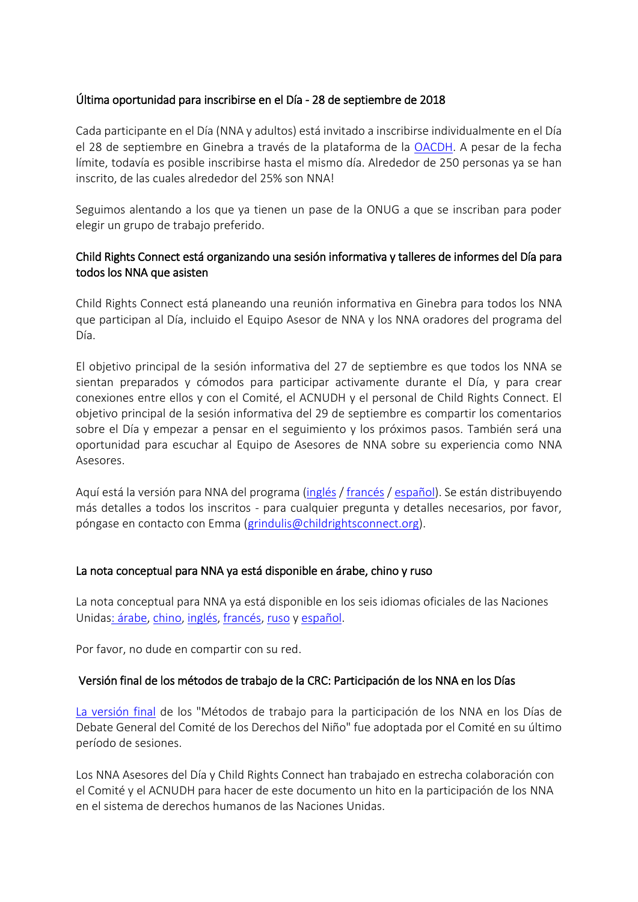## Última oportunidad para inscribirse en el Día - 28 de septiembre de 2018

Cada participante en el Día (NNA y adultos) está invitado a inscribirse individualmente en el Día el 28 de septiembre en Ginebra a través de la plataforma de la [OACDH.](https://reg.unog.ch/event/24042/) A pesar de la fecha límite, todavía es posible inscribirse hasta el mismo día. Alrededor de 250 personas ya se han inscrito, de las cuales alrededor del 25% son NNA!

Seguimos alentando a los que ya tienen un pase de la ONUG a que se inscriban para poder elegir un grupo de trabajo preferido.

# Child Rights Connect está organizando una sesión informativa y talleres de informes del Día para todos los NNA que asisten

Child Rights Connect está planeando una reunión informativa en Ginebra para todos los NNA que participan al Día, incluido el Equipo Asesor de NNA y los NNA oradores del programa del Día.

El objetivo principal de la sesión informativa del 27 de septiembre es que todos los NNA se sientan preparados y cómodos para participar activamente durante el Día, y para crear conexiones entre ellos y con el Comité, el ACNUDH y el personal de Child Rights Connect. El objetivo principal de la sesión informativa del 29 de septiembre es compartir los comentarios sobre el Día y empezar a pensar en el seguimiento y los próximos pasos. También será una oportunidad para escuchar al Equipo de Asesores de NNA sobre su experiencia como NNA Asesores.

Aquí está la versión para NNA del programa [\(inglés](https://www.childrightsconnect.org/wp-content/uploads/2018/09/ChildFriendly_Programme_DGD_BriefingDebriefing_EN.pdf) / [francés](https://www.childrightsconnect.org/wp-content/uploads/2018/09/ChildFriendly_Programme_DGD_BriefingDebriefing_FR.pdf) / [español\)](https://www.childrightsconnect.org/wp-content/uploads/2018/09/ChildFriendly_Programme_DGD_BriefingDebriefing_ES.pdf). Se están distribuyendo más detalles a todos los inscritos - para cualquier pregunta y detalles necesarios, por favor, póngase en contacto con Emma [\(grindulis@childrightsconnect.org\)](grindulis@childrightsconnect.org).

## La nota conceptual para NNA ya está disponible en árabe, chino y ruso

La nota conceptual para NNA ya está disponible en los seis idiomas oficiales de las Naciones Unida[s: árabe,](https://www.childrightsconnect.org/wp-content/uploads/2018/08/ConceptNote_ChildFriendly_AR.pdf) [chino,](https://www.childrightsconnect.org/wp-content/uploads/2018/08/Concept-Note_ChildFriendly_Chinese.pdf) [inglés,](https://www.childrightsconnect.org/connect-with-the-un-2/committee-on-the-rights-of-the-child/days-of-general-discussion/cf-dgd2018/) [francés,](https://www.childrightsconnect.org/connect-with-the-un-2/committee-on-the-rights-of-the-child/days-of-general-discussion/cf-dgd2018/cf-dgd2018-fr/) [ruso](https://www.childrightsconnect.org/wp-content/uploads/2018/09/Concept-Note_ChildFriendly_RU.pdf) y [español.](https://www.childrightsconnect.org/connect-with-the-un-2/committee-on-the-rights-of-the-child/days-of-general-discussion/cf-dgd2018/cf-dgd2018-es/)

Por favor, no dude en compartir con su red.

#### Versión final de los métodos de trabajo de la CRC: Participación de los NNA en los Días

[La versión final](https://documents-dds-ny.un.org/doc/UNDOC/GEN/G18/274/25/PDF/G1827425.pdf?OpenElement) de los "Métodos de trabajo para la participación de los NNA en los Días de Debate General del Comité de los Derechos del Niño" fue adoptada por el Comité en su último período de sesiones.

Los NNA Asesores del Día y Child Rights Connect han trabajado en estrecha colaboración con el Comité y el ACNUDH para hacer de este documento un hito en la participación de los NNA en el sistema de derechos humanos de las Naciones Unidas.